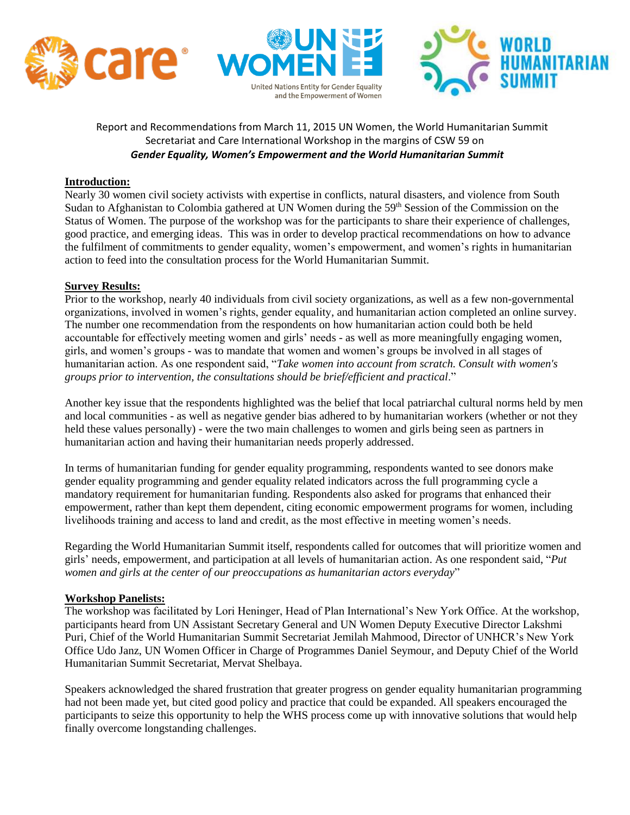





## Report and Recommendations from March 11, 2015 UN Women, the World Humanitarian Summit Secretariat and Care International Workshop in the margins of CSW 59 on *Gender Equality, Women's Empowerment and the World Humanitarian Summit*

#### **Introduction:**

Nearly 30 women civil society activists with expertise in conflicts, natural disasters, and violence from South Sudan to Afghanistan to Colombia gathered at UN Women during the 59<sup>th</sup> Session of the Commission on the Status of Women. The purpose of the workshop was for the participants to share their experience of challenges, good practice, and emerging ideas. This was in order to develop practical recommendations on how to advance the fulfilment of commitments to gender equality, women's empowerment, and women's rights in humanitarian action to feed into the consultation process for the World Humanitarian Summit.

#### **Survey Results:**

Prior to the workshop, nearly 40 individuals from civil society organizations, as well as a few non-governmental organizations, involved in women's rights, gender equality, and humanitarian action completed an online survey. The number one recommendation from the respondents on how humanitarian action could both be held accountable for effectively meeting women and girls' needs - as well as more meaningfully engaging women, girls, and women's groups - was to mandate that women and women's groups be involved in all stages of humanitarian action. As one respondent said, "*Take women into account from scratch. Consult with women's groups prior to intervention, the consultations should be brief/efficient and practical*."

Another key issue that the respondents highlighted was the belief that local patriarchal cultural norms held by men and local communities - as well as negative gender bias adhered to by humanitarian workers (whether or not they held these values personally) - were the two main challenges to women and girls being seen as partners in humanitarian action and having their humanitarian needs properly addressed.

In terms of humanitarian funding for gender equality programming, respondents wanted to see donors make gender equality programming and gender equality related indicators across the full programming cycle a mandatory requirement for humanitarian funding. Respondents also asked for programs that enhanced their empowerment, rather than kept them dependent, citing economic empowerment programs for women, including livelihoods training and access to land and credit, as the most effective in meeting women's needs.

Regarding the World Humanitarian Summit itself, respondents called for outcomes that will prioritize women and girls' needs, empowerment, and participation at all levels of humanitarian action. As one respondent said, "*Put women and girls at the center of our preoccupations as humanitarian actors everyday*"

#### **Workshop Panelists:**

The workshop was facilitated by Lori Heninger, Head of Plan International's New York Office. At the workshop, participants heard from UN Assistant Secretary General and UN Women Deputy Executive Director Lakshmi Puri, Chief of the World Humanitarian Summit Secretariat Jemilah Mahmood, Director of UNHCR's New York Office Udo Janz, UN Women Officer in Charge of Programmes Daniel Seymour, and Deputy Chief of the World Humanitarian Summit Secretariat, Mervat Shelbaya.

Speakers acknowledged the shared frustration that greater progress on gender equality humanitarian programming had not been made yet, but cited good policy and practice that could be expanded. All speakers encouraged the participants to seize this opportunity to help the WHS process come up with innovative solutions that would help finally overcome longstanding challenges.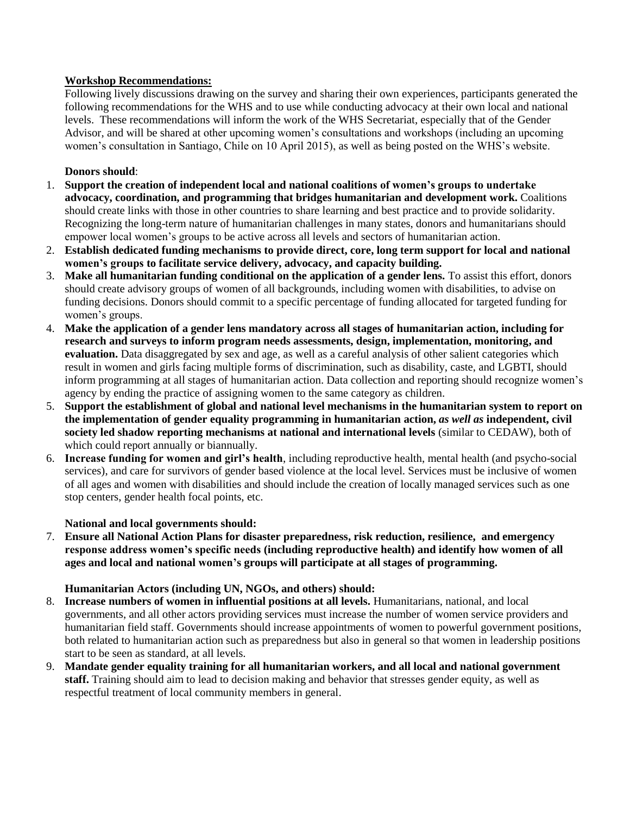## **Workshop Recommendations:**

Following lively discussions drawing on the survey and sharing their own experiences, participants generated the following recommendations for the WHS and to use while conducting advocacy at their own local and national levels. These recommendations will inform the work of the WHS Secretariat, especially that of the Gender Advisor, and will be shared at other upcoming women's consultations and workshops (including an upcoming women's consultation in Santiago, Chile on 10 April 2015), as well as being posted on the WHS's website.

## **Donors should**:

- 1. **Support the creation of independent local and national coalitions of women's groups to undertake advocacy, coordination, and programming that bridges humanitarian and development work.** Coalitions should create links with those in other countries to share learning and best practice and to provide solidarity. Recognizing the long-term nature of humanitarian challenges in many states, donors and humanitarians should empower local women's groups to be active across all levels and sectors of humanitarian action.
- 2. **Establish dedicated funding mechanisms to provide direct, core, long term support for local and national women's groups to facilitate service delivery, advocacy, and capacity building.**
- 3. **Make all humanitarian funding conditional on the application of a gender lens.** To assist this effort, donors should create advisory groups of women of all backgrounds, including women with disabilities, to advise on funding decisions. Donors should commit to a specific percentage of funding allocated for targeted funding for women's groups.
- 4. **Make the application of a gender lens mandatory across all stages of humanitarian action, including for research and surveys to inform program needs assessments, design, implementation, monitoring, and evaluation.** Data disaggregated by sex and age, as well as a careful analysis of other salient categories which result in women and girls facing multiple forms of discrimination, such as disability, caste, and LGBTI, should inform programming at all stages of humanitarian action. Data collection and reporting should recognize women's agency by ending the practice of assigning women to the same category as children.
- 5. **Support the establishment of global and national level mechanisms in the humanitarian system to report on the implementation of gender equality programming in humanitarian action,** *as well as* **independent, civil society led shadow reporting mechanisms at national and international levels** (similar to CEDAW), both of which could report annually or biannually.
- 6. **Increase funding for women and girl's health**, including reproductive health, mental health (and psycho-social services), and care for survivors of gender based violence at the local level. Services must be inclusive of women of all ages and women with disabilities and should include the creation of locally managed services such as one stop centers, gender health focal points, etc.

## **National and local governments should:**

7. **Ensure all National Action Plans for disaster preparedness, risk reduction, resilience, and emergency response address women's specific needs (including reproductive health) and identify how women of all ages and local and national women's groups will participate at all stages of programming.**

#### **Humanitarian Actors (including UN, NGOs, and others) should:**

- 8. **Increase numbers of women in influential positions at all levels.** Humanitarians, national, and local governments, and all other actors providing services must increase the number of women service providers and humanitarian field staff. Governments should increase appointments of women to powerful government positions, both related to humanitarian action such as preparedness but also in general so that women in leadership positions start to be seen as standard, at all levels.
- 9. **Mandate gender equality training for all humanitarian workers, and all local and national government staff.** Training should aim to lead to decision making and behavior that stresses gender equity, as well as respectful treatment of local community members in general.